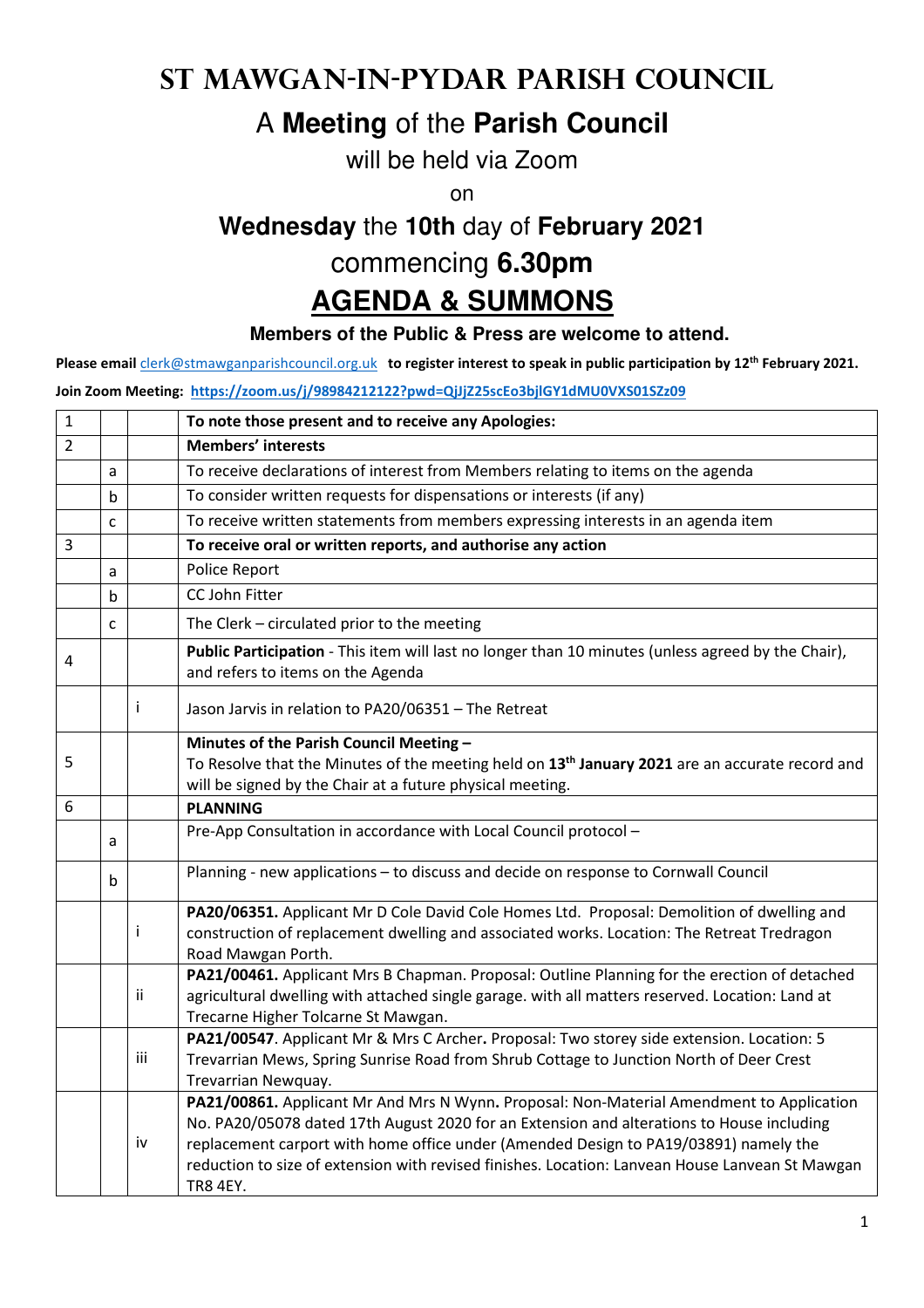# **St Mawgan-in-Pydar Parish Council**

## A **Meeting** of the **Parish Council**

will be held via Zoom

on

# **Wednesday** the **10th** day of **February 2021**

# commencing **6.30pm**

### **AGENDA & SUMMONS**

### **Members of the Public & Press are welcome to attend.**

**Please email** clerk@stmawganparishcouncil.org.uk **to register interest to speak in public participation by 12th February 2021.** 

#### **Join Zoom Meeting: https://zoom.us/j/98984212122?pwd=QjJjZ25scEo3bjlGY1dMU0VXS01SZz09**

| $\mathbf{1}$   |              |              | To note those present and to receive any Apologies:                                                                                                                                                                                                                                                                                                                                                 |
|----------------|--------------|--------------|-----------------------------------------------------------------------------------------------------------------------------------------------------------------------------------------------------------------------------------------------------------------------------------------------------------------------------------------------------------------------------------------------------|
| $\overline{2}$ |              |              | <b>Members' interests</b>                                                                                                                                                                                                                                                                                                                                                                           |
|                | a            |              | To receive declarations of interest from Members relating to items on the agenda                                                                                                                                                                                                                                                                                                                    |
|                | b            |              | To consider written requests for dispensations or interests (if any)                                                                                                                                                                                                                                                                                                                                |
|                | $\mathsf{C}$ |              | To receive written statements from members expressing interests in an agenda item                                                                                                                                                                                                                                                                                                                   |
| 3              |              |              | To receive oral or written reports, and authorise any action                                                                                                                                                                                                                                                                                                                                        |
|                | a            |              | Police Report                                                                                                                                                                                                                                                                                                                                                                                       |
|                | $\mathsf b$  |              | CC John Fitter                                                                                                                                                                                                                                                                                                                                                                                      |
|                | C            |              | The Clerk - circulated prior to the meeting                                                                                                                                                                                                                                                                                                                                                         |
| 4              |              |              | Public Participation - This item will last no longer than 10 minutes (unless agreed by the Chair),<br>and refers to items on the Agenda                                                                                                                                                                                                                                                             |
|                |              | $\mathbf{i}$ | Jason Jarvis in relation to PA20/06351 - The Retreat                                                                                                                                                                                                                                                                                                                                                |
|                |              |              | Minutes of the Parish Council Meeting -                                                                                                                                                                                                                                                                                                                                                             |
| 5              |              |              | To Resolve that the Minutes of the meeting held on 13 <sup>th</sup> January 2021 are an accurate record and                                                                                                                                                                                                                                                                                         |
| 6              |              |              | will be signed by the Chair at a future physical meeting.<br><b>PLANNING</b>                                                                                                                                                                                                                                                                                                                        |
|                |              |              |                                                                                                                                                                                                                                                                                                                                                                                                     |
|                | a            |              | Pre-App Consultation in accordance with Local Council protocol -                                                                                                                                                                                                                                                                                                                                    |
|                | b            |              | Planning - new applications - to discuss and decide on response to Cornwall Council                                                                                                                                                                                                                                                                                                                 |
|                |              | Ť            | PA20/06351. Applicant Mr D Cole David Cole Homes Ltd. Proposal: Demolition of dwelling and<br>construction of replacement dwelling and associated works. Location: The Retreat Tredragon<br>Road Mawgan Porth.                                                                                                                                                                                      |
|                |              | ii.          | PA21/00461. Applicant Mrs B Chapman. Proposal: Outline Planning for the erection of detached<br>agricultural dwelling with attached single garage. with all matters reserved. Location: Land at<br>Trecarne Higher Tolcarne St Mawgan.                                                                                                                                                              |
|                |              | iii          | PA21/00547. Applicant Mr & Mrs C Archer. Proposal: Two storey side extension. Location: 5<br>Trevarrian Mews, Spring Sunrise Road from Shrub Cottage to Junction North of Deer Crest<br>Trevarrian Newquay.                                                                                                                                                                                         |
|                |              | iv           | PA21/00861. Applicant Mr And Mrs N Wynn. Proposal: Non-Material Amendment to Application<br>No. PA20/05078 dated 17th August 2020 for an Extension and alterations to House including<br>replacement carport with home office under (Amended Design to PA19/03891) namely the<br>reduction to size of extension with revised finishes. Location: Lanvean House Lanvean St Mawgan<br><b>TR8 4EY.</b> |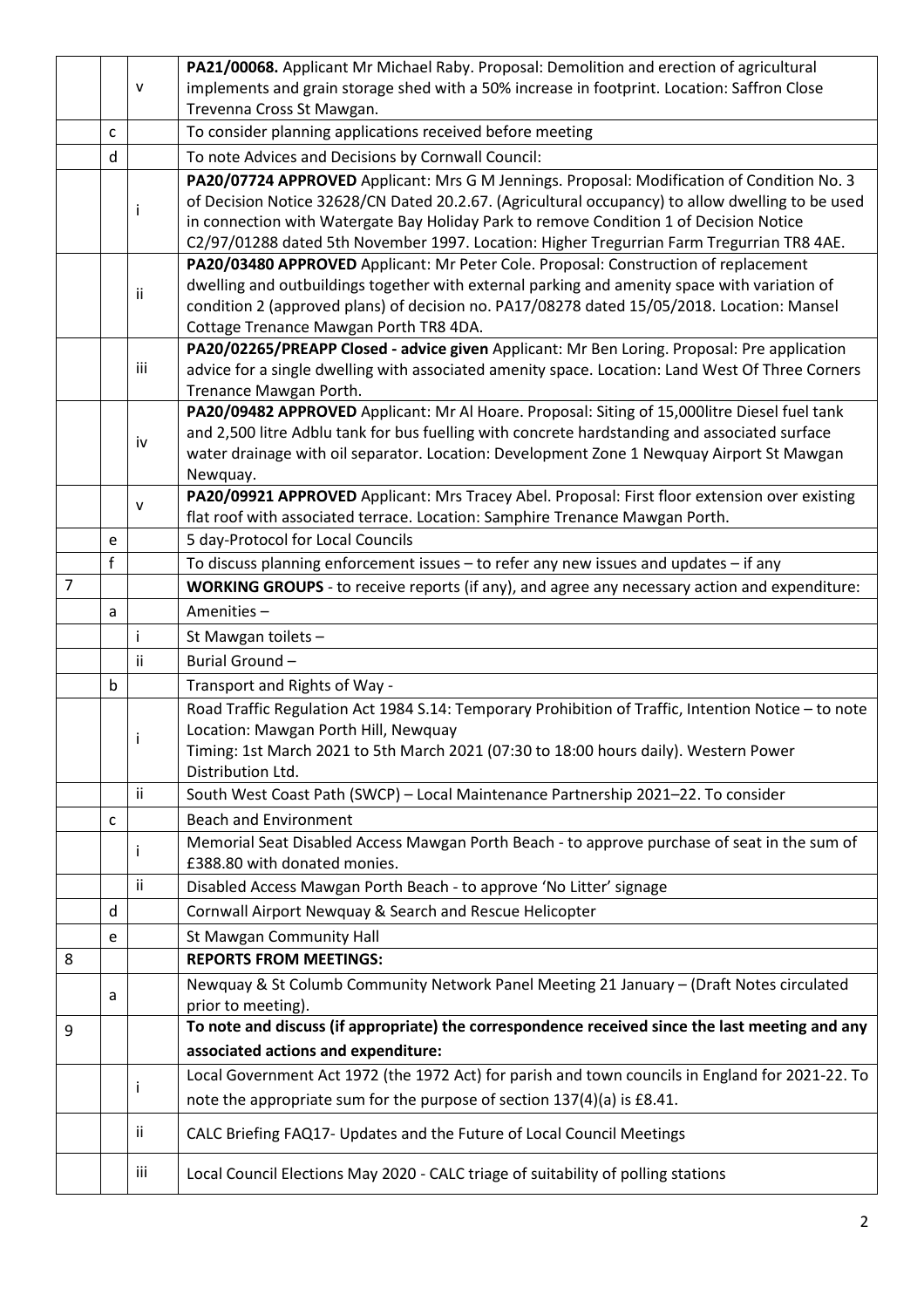|                |   |              | PA21/00068. Applicant Mr Michael Raby. Proposal: Demolition and erection of agricultural                                                                                                   |
|----------------|---|--------------|--------------------------------------------------------------------------------------------------------------------------------------------------------------------------------------------|
|                |   | $\mathsf{V}$ | implements and grain storage shed with a 50% increase in footprint. Location: Saffron Close                                                                                                |
|                |   |              | Trevenna Cross St Mawgan.                                                                                                                                                                  |
|                | c |              | To consider planning applications received before meeting                                                                                                                                  |
|                | d |              | To note Advices and Decisions by Cornwall Council:                                                                                                                                         |
|                |   |              | PA20/07724 APPROVED Applicant: Mrs G M Jennings. Proposal: Modification of Condition No. 3                                                                                                 |
|                |   |              | of Decision Notice 32628/CN Dated 20.2.67. (Agricultural occupancy) to allow dwelling to be used                                                                                           |
|                |   |              | in connection with Watergate Bay Holiday Park to remove Condition 1 of Decision Notice                                                                                                     |
|                |   |              | C2/97/01288 dated 5th November 1997. Location: Higher Tregurrian Farm Tregurrian TR8 4AE.                                                                                                  |
|                |   |              | PA20/03480 APPROVED Applicant: Mr Peter Cole. Proposal: Construction of replacement                                                                                                        |
|                |   | ii           | dwelling and outbuildings together with external parking and amenity space with variation of                                                                                               |
|                |   |              | condition 2 (approved plans) of decision no. PA17/08278 dated 15/05/2018. Location: Mansel                                                                                                 |
|                |   |              | Cottage Trenance Mawgan Porth TR8 4DA.                                                                                                                                                     |
|                |   | iii          | PA20/02265/PREAPP Closed - advice given Applicant: Mr Ben Loring. Proposal: Pre application                                                                                                |
|                |   |              | advice for a single dwelling with associated amenity space. Location: Land West Of Three Corners                                                                                           |
|                |   |              | Trenance Mawgan Porth.                                                                                                                                                                     |
|                |   |              | PA20/09482 APPROVED Applicant: Mr Al Hoare. Proposal: Siting of 15,000litre Diesel fuel tank                                                                                               |
|                |   | iv           | and 2,500 litre Adblu tank for bus fuelling with concrete hardstanding and associated surface<br>water drainage with oil separator. Location: Development Zone 1 Newquay Airport St Mawgan |
|                |   |              | Newquay.                                                                                                                                                                                   |
|                |   |              | PA20/09921 APPROVED Applicant: Mrs Tracey Abel. Proposal: First floor extension over existing                                                                                              |
|                |   | v            | flat roof with associated terrace. Location: Samphire Trenance Mawgan Porth.                                                                                                               |
|                | e |              | 5 day-Protocol for Local Councils                                                                                                                                                          |
|                | f |              | To discuss planning enforcement issues - to refer any new issues and updates - if any                                                                                                      |
| $\overline{7}$ |   |              | WORKING GROUPS - to receive reports (if any), and agree any necessary action and expenditure:                                                                                              |
|                |   |              | Amenities-                                                                                                                                                                                 |
|                | a |              |                                                                                                                                                                                            |
|                |   |              |                                                                                                                                                                                            |
|                |   | Ť            | St Mawgan toilets -                                                                                                                                                                        |
|                |   | ii           | Burial Ground-                                                                                                                                                                             |
|                | b |              | Transport and Rights of Way -                                                                                                                                                              |
|                |   |              | Road Traffic Regulation Act 1984 S.14: Temporary Prohibition of Traffic, Intention Notice - to note                                                                                        |
|                |   |              | Location: Mawgan Porth Hill, Newquay                                                                                                                                                       |
|                |   |              | Timing: 1st March 2021 to 5th March 2021 (07:30 to 18:00 hours daily). Western Power                                                                                                       |
|                |   |              | Distribution Ltd.                                                                                                                                                                          |
|                |   | Ϊİ           | South West Coast Path (SWCP) - Local Maintenance Partnership 2021-22. To consider                                                                                                          |
|                | C |              | <b>Beach and Environment</b>                                                                                                                                                               |
|                |   |              | Memorial Seat Disabled Access Mawgan Porth Beach - to approve purchase of seat in the sum of                                                                                               |
|                |   |              | £388.80 with donated monies.                                                                                                                                                               |
|                |   | Ϊİ           | Disabled Access Mawgan Porth Beach - to approve 'No Litter' signage                                                                                                                        |
|                | d |              | Cornwall Airport Newquay & Search and Rescue Helicopter                                                                                                                                    |
|                | e |              | St Mawgan Community Hall                                                                                                                                                                   |
| 8              |   |              | <b>REPORTS FROM MEETINGS:</b>                                                                                                                                                              |
|                | a |              | Newquay & St Columb Community Network Panel Meeting 21 January - (Draft Notes circulated                                                                                                   |
|                |   |              | prior to meeting).                                                                                                                                                                         |
| 9              |   |              | To note and discuss (if appropriate) the correspondence received since the last meeting and any                                                                                            |
|                |   |              | associated actions and expenditure:                                                                                                                                                        |
|                |   |              | Local Government Act 1972 (the 1972 Act) for parish and town councils in England for 2021-22. To                                                                                           |
|                |   |              | note the appropriate sum for the purpose of section 137(4)(a) is £8.41.                                                                                                                    |
|                |   | ij.          | CALC Briefing FAQ17- Updates and the Future of Local Council Meetings                                                                                                                      |
|                |   | iii          | Local Council Elections May 2020 - CALC triage of suitability of polling stations                                                                                                          |